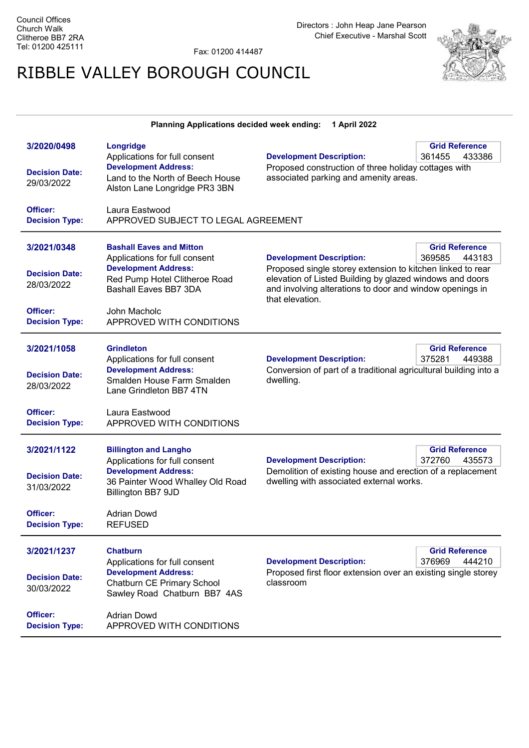Fax: 01200 414487

## RIBBLE VALLEY BOROUGH COUNCIL



| Planning Applications decided week ending:<br>1 April 2022     |                                                                                                                                                                     |                                                                                                                                                                                                                                          |                                           |  |
|----------------------------------------------------------------|---------------------------------------------------------------------------------------------------------------------------------------------------------------------|------------------------------------------------------------------------------------------------------------------------------------------------------------------------------------------------------------------------------------------|-------------------------------------------|--|
| 3/2020/0498<br><b>Decision Date:</b><br>29/03/2022<br>Officer: | Longridge<br>Applications for full consent<br><b>Development Address:</b><br>Land to the North of Beech House<br>Alston Lane Longridge PR3 3BN<br>Laura Eastwood    | <b>Development Description:</b><br>Proposed construction of three holiday cottages with<br>associated parking and amenity areas.                                                                                                         | <b>Grid Reference</b><br>361455<br>433386 |  |
| <b>Decision Type:</b>                                          | APPROVED SUBJECT TO LEGAL AGREEMENT                                                                                                                                 |                                                                                                                                                                                                                                          |                                           |  |
| 3/2021/0348<br><b>Decision Date:</b><br>28/03/2022             | <b>Bashall Eaves and Mitton</b><br>Applications for full consent<br><b>Development Address:</b><br>Red Pump Hotel Clitheroe Road<br>Bashall Eaves BB7 3DA           | <b>Development Description:</b><br>Proposed single storey extension to kitchen linked to rear<br>elevation of Listed Building by glazed windows and doors<br>and involving alterations to door and window openings in<br>that elevation. | <b>Grid Reference</b><br>369585<br>443183 |  |
| Officer:<br><b>Decision Type:</b>                              | John Macholc<br>APPROVED WITH CONDITIONS                                                                                                                            |                                                                                                                                                                                                                                          |                                           |  |
| 3/2021/1058<br><b>Decision Date:</b><br>28/03/2022<br>Officer: | <b>Grindleton</b><br>Applications for full consent<br><b>Development Address:</b><br>Smalden House Farm Smalden<br>Lane Grindleton BB7 4TN<br>Laura Eastwood        | <b>Development Description:</b><br>Conversion of part of a traditional agricultural building into a<br>dwelling.                                                                                                                         | <b>Grid Reference</b><br>375281<br>449388 |  |
| <b>Decision Type:</b>                                          | APPROVED WITH CONDITIONS                                                                                                                                            |                                                                                                                                                                                                                                          |                                           |  |
| 3/2021/1122<br><b>Decision Date:</b><br>31/03/2022             | <b>Billington and Langho</b><br>Applications for full consent<br><b>Development Address:</b><br>36 Painter Wood Whalley Old Road<br>Billington BB7 9JD              | <b>Development Description:</b><br>Demolition of existing house and erection of a replacement<br>dwelling with associated external works.                                                                                                | <b>Grid Reference</b><br>372760<br>435573 |  |
| Officer:<br><b>Decision Type:</b>                              | <b>Adrian Dowd</b><br><b>REFUSED</b>                                                                                                                                |                                                                                                                                                                                                                                          |                                           |  |
| 3/2021/1237<br><b>Decision Date:</b><br>30/03/2022<br>Officer: | <b>Chatburn</b><br>Applications for full consent<br><b>Development Address:</b><br>Chatburn CE Primary School<br>Sawley Road Chatburn BB7 4AS<br><b>Adrian Dowd</b> | <b>Development Description:</b><br>Proposed first floor extension over an existing single storey<br>classroom                                                                                                                            | <b>Grid Reference</b><br>376969<br>444210 |  |
| <b>Decision Type:</b>                                          | APPROVED WITH CONDITIONS                                                                                                                                            |                                                                                                                                                                                                                                          |                                           |  |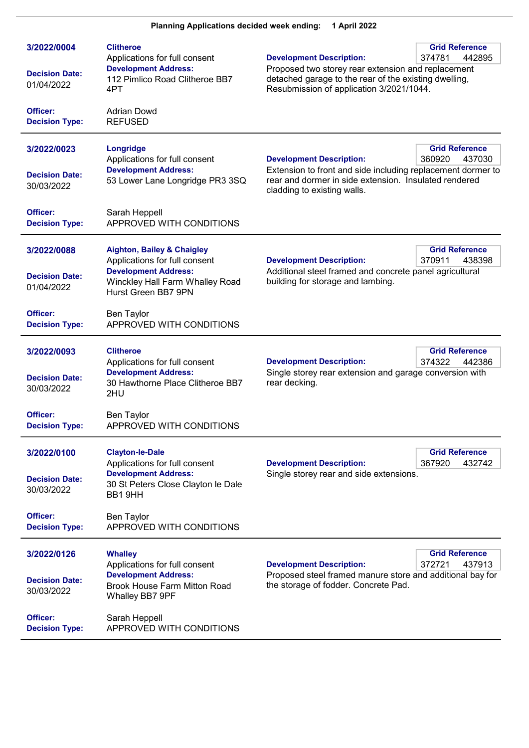| 3/2022/0004<br><b>Decision Date:</b><br>01/04/2022 | <b>Clitheroe</b><br>Applications for full consent<br><b>Development Address:</b><br>112 Pimlico Road Clitheroe BB7                                              | <b>Grid Reference</b><br><b>Development Description:</b><br>374781<br>442895<br>Proposed two storey rear extension and replacement<br>detached garage to the rear of the existing dwelling,                                         |
|----------------------------------------------------|-----------------------------------------------------------------------------------------------------------------------------------------------------------------|-------------------------------------------------------------------------------------------------------------------------------------------------------------------------------------------------------------------------------------|
| Officer:<br><b>Decision Type:</b>                  | 4PT<br><b>Adrian Dowd</b><br><b>REFUSED</b>                                                                                                                     | Resubmission of application 3/2021/1044.                                                                                                                                                                                            |
| 3/2022/0023<br><b>Decision Date:</b><br>30/03/2022 | <b>Longridge</b><br>Applications for full consent<br><b>Development Address:</b><br>53 Lower Lane Longridge PR3 3SQ                                             | <b>Grid Reference</b><br><b>Development Description:</b><br>360920<br>437030<br>Extension to front and side including replacement dormer to<br>rear and dormer in side extension. Insulated rendered<br>cladding to existing walls. |
| Officer:<br><b>Decision Type:</b>                  | Sarah Heppell<br>APPROVED WITH CONDITIONS                                                                                                                       |                                                                                                                                                                                                                                     |
| 3/2022/0088<br><b>Decision Date:</b><br>01/04/2022 | <b>Aighton, Bailey &amp; Chaigley</b><br>Applications for full consent<br><b>Development Address:</b><br>Winckley Hall Farm Whalley Road<br>Hurst Green BB7 9PN | <b>Grid Reference</b><br><b>Development Description:</b><br>370911<br>438398<br>Additional steel framed and concrete panel agricultural<br>building for storage and lambing.                                                        |
| Officer:<br><b>Decision Type:</b>                  | Ben Taylor<br>APPROVED WITH CONDITIONS                                                                                                                          |                                                                                                                                                                                                                                     |
| 3/2022/0093<br><b>Decision Date:</b><br>30/03/2022 | <b>Clitheroe</b><br>Applications for full consent<br><b>Development Address:</b><br>30 Hawthorne Place Clitheroe BB7<br>2HU                                     | <b>Grid Reference</b><br>374322<br><b>Development Description:</b><br>442386<br>Single storey rear extension and garage conversion with<br>rear decking.                                                                            |
| Officer:<br><b>Decision Type:</b>                  | Ben Taylor<br>APPROVED WITH CONDITIONS                                                                                                                          |                                                                                                                                                                                                                                     |
| 3/2022/0100<br><b>Decision Date:</b><br>30/03/2022 | <b>Clayton-le-Dale</b><br>Applications for full consent<br><b>Development Address:</b><br>30 St Peters Close Clayton le Dale<br>BB1 9HH                         | <b>Grid Reference</b><br><b>Development Description:</b><br>367920<br>432742<br>Single storey rear and side extensions.                                                                                                             |
| Officer:<br><b>Decision Type:</b>                  | Ben Taylor<br>APPROVED WITH CONDITIONS                                                                                                                          |                                                                                                                                                                                                                                     |
| 3/2022/0126<br><b>Decision Date:</b><br>30/03/2022 | <b>Whalley</b><br>Applications for full consent<br><b>Development Address:</b><br><b>Brook House Farm Mitton Road</b><br>Whalley BB7 9PF                        | <b>Grid Reference</b><br><b>Development Description:</b><br>372721<br>437913<br>Proposed steel framed manure store and additional bay for<br>the storage of fodder. Concrete Pad.                                                   |
| <b>Officer:</b><br><b>Decision Type:</b>           | Sarah Heppell<br>APPROVED WITH CONDITIONS                                                                                                                       |                                                                                                                                                                                                                                     |